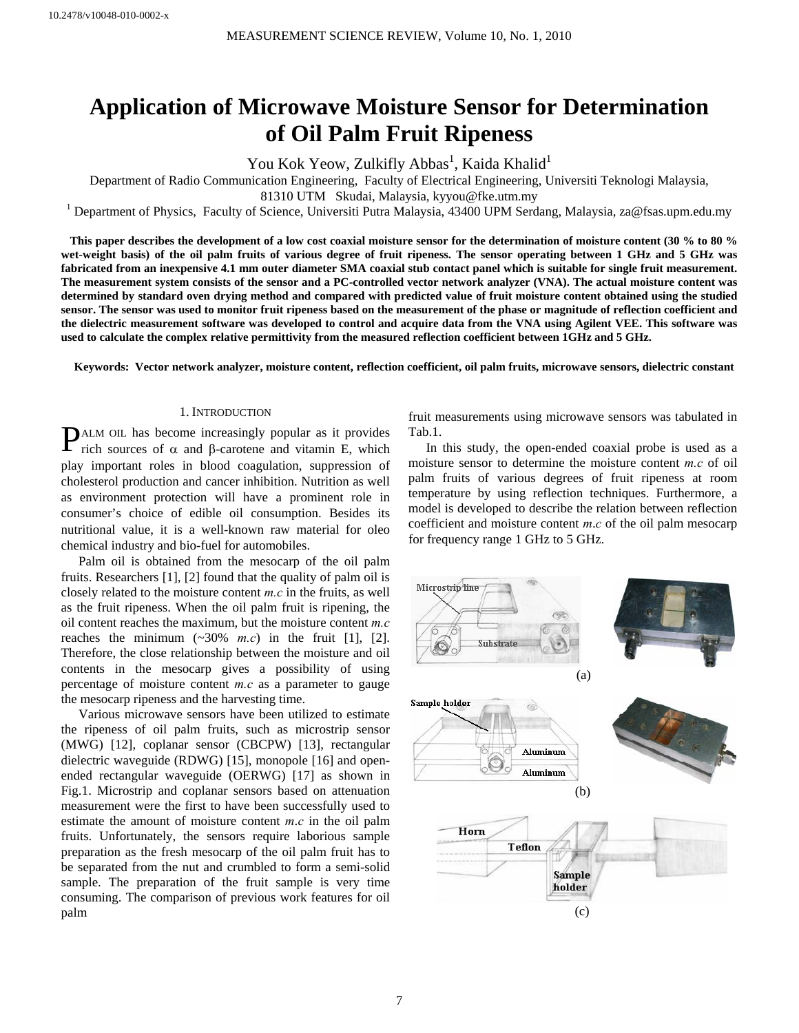# **Application of Microwave Moisture Sensor for Determination of Oil Palm Fruit Ripeness**

You Kok Yeow, Zulkifly Abbas<sup>1</sup>, Kaida Khalid<sup>1</sup>

Department of Radio Communication Engineering, Faculty of Electrical Engineering, Universiti Teknologi Malaysia,

81310 UTM Skudai, Malaysia, kyyou@fke.utm.my<br><sup>1</sup> Department of Physics, Faculty of Science, Universiti Putra Malaysia, 43400 UPM Serdang, Malaysia, za@fsas.upm.edu.my

 **This paper describes the development of a low cost coaxial moisture sensor for the determination of moisture content (30 % to 80 % wet-weight basis) of the oil palm fruits of various degree of fruit ripeness. The sensor operating between 1 GHz and 5 GHz was fabricated from an inexpensive 4.1 mm outer diameter SMA coaxial stub contact panel which is suitable for single fruit measurement. The measurement system consists of the sensor and a PC-controlled vector network analyzer (VNA). The actual moisture content was determined by standard oven drying method and compared with predicted value of fruit moisture content obtained using the studied sensor. The sensor was used to monitor fruit ripeness based on the measurement of the phase or magnitude of reflection coefficient and the dielectric measurement software was developed to control and acquire data from the VNA using Agilent VEE. This software was used to calculate the complex relative permittivity from the measured reflection coefficient between 1GHz and 5 GHz.** 

**Keywords: Vector network analyzer, moisture content, reflection coefficient, oil palm fruits, microwave sensors, dielectric constant** 

# 1. INTRODUCTION

**PALM OIL has become increasingly popular as it provides** rich sources of  $\alpha$  and  $\beta$ -carotene and vitamin E, which rich sources of α and β-carotene and vitamin E, which play important roles in blood coagulation, suppression of cholesterol production and cancer inhibition. Nutrition as well as environment protection will have a prominent role in consumer's choice of edible oil consumption. Besides its nutritional value, it is a well-known raw material for oleo chemical industry and bio-fuel for automobiles.

Palm oil is obtained from the mesocarp of the oil palm fruits. Researchers [1], [2] found that the quality of palm oil is closely related to the moisture content *m.c* in the fruits, as well as the fruit ripeness. When the oil palm fruit is ripening, the oil content reaches the maximum, but the moisture content *m.c* reaches the minimum  $(\sim 30\%$  *m.c*) in the fruit [1], [2]. Therefore, the close relationship between the moisture and oil contents in the mesocarp gives a possibility of using percentage of moisture content *m.c* as a parameter to gauge the mesocarp ripeness and the harvesting time.

Various microwave sensors have been utilized to estimate the ripeness of oil palm fruits, such as microstrip sensor (MWG) [12], coplanar sensor (CBCPW) [13], rectangular dielectric waveguide (RDWG) [15], monopole [16] and openended rectangular waveguide (OERWG) [17] as shown in Fig.1. Microstrip and coplanar sensors based on attenuation measurement were the first to have been successfully used to estimate the amount of moisture content *m*.*c* in the oil palm fruits. Unfortunately, the sensors require laborious sample preparation as the fresh mesocarp of the oil palm fruit has to be separated from the nut and crumbled to form a semi-solid sample. The preparation of the fruit sample is very time consuming. The comparison of previous work features for oil palm

fruit measurements using microwave sensors was tabulated in Tab.1.

In this study, the open-ended coaxial probe is used as a moisture sensor to determine the moisture content *m.c* of oil palm fruits of various degrees of fruit ripeness at room temperature by using reflection techniques. Furthermore, a model is developed to describe the relation between reflection coefficient and moisture content *m*.*c* of the oil palm mesocarp for frequency range 1 GHz to 5 GHz.

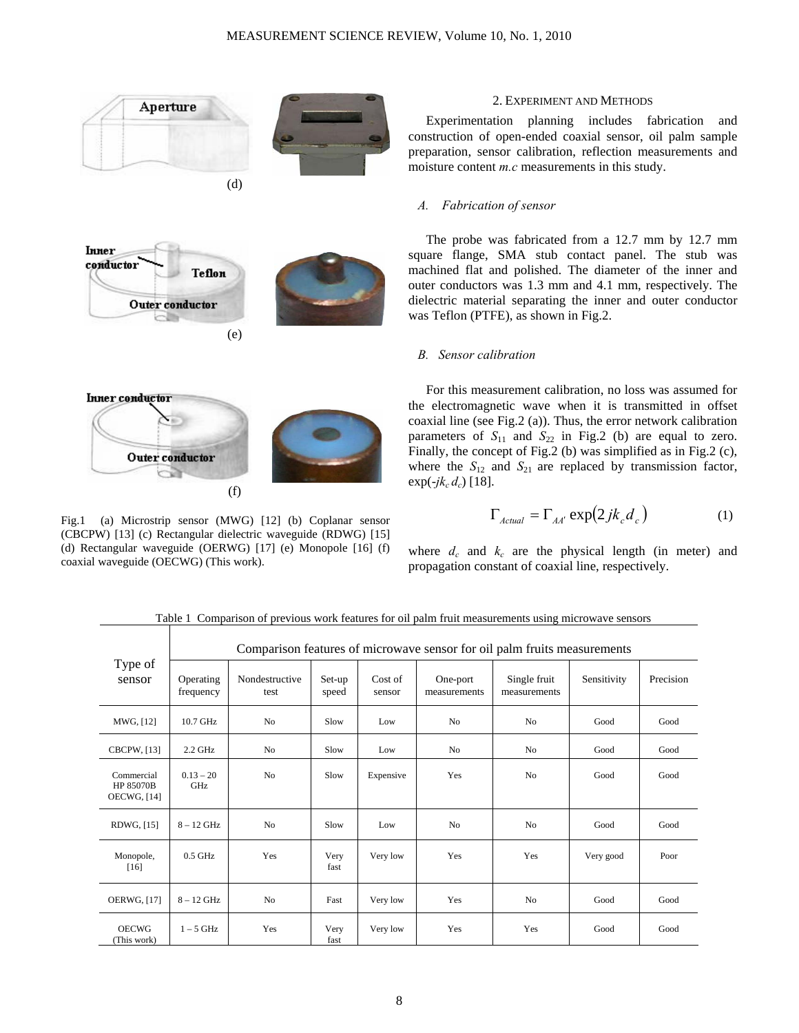

Fig.1 (a) Microstrip sensor (MWG) [12] (b) Coplanar sensor (CBCPW) [13] (c) Rectangular dielectric waveguide (RDWG) [15] (d) Rectangular waveguide (OERWG) [17] (e) Monopole [16] (f) coaxial waveguide (OECWG) (This work).

#### 2. EXPERIMENT AND METHODS

Experimentation planning includes fabrication and construction of open-ended coaxial sensor, oil palm sample preparation, sensor calibration, reflection measurements and moisture content *m.c* measurements in this study.

#### *A. Fabrication of sensor*

The probe was fabricated from a 12.7 mm by 12.7 mm square flange, SMA stub contact panel. The stub was machined flat and polished. The diameter of the inner and outer conductors was 1.3 mm and 4.1 mm, respectively. The dielectric material separating the inner and outer conductor was Teflon (PTFE), as shown in Fig.2.

## *B. Sensor calibration*

For this measurement calibration, no loss was assumed for the electromagnetic wave when it is transmitted in offset coaxial line (see Fig.2 (a)). Thus, the error network calibration parameters of  $S_{11}$  and  $S_{22}$  in Fig.2 (b) are equal to zero. Finally, the concept of Fig.2 (b) was simplified as in Fig.2 (c), where the  $S_{12}$  and  $S_{21}$  are replaced by transmission factor,  $exp(-ik_c d_c)$  [18].

$$
\Gamma_{Actual} = \Gamma_{AA'} \exp(2jk_c d_c)
$$
 (1)

where  $d_c$  and  $k_c$  are the physical length (in meter) and propagation constant of coaxial line, respectively.

 $1 - 5$  GHz Yes Very Comparison features of microwave sensor for oil palm fruits measurements Type of sensor Operating frequency Nondestructive test Set-up speed Cost of sensor One-port measurements Single fruit measurements Sensitivity Precision MWG, [12] 10.7 GHz No Slow Low No No Good Good CBCPW, [13] 2.2 GHz No Slow Low No No Good Good Commercial HP 85070B OECWG, [14]  $0.13 - 20$ GHz No Slow Expensive Yes No Good Good Good RDWG, [15] 8 – 12 GHz No Slow Low No No No Good Good Monopole, [16] 0.5 GHz Yes Very fast Very low Yes Yes Very good Poor OERWG, [17] | 8 – 12 GHz | No | Fast | Very low | Yes | No | Good | Good OECWG (This work) fast Very low | Yes | Yes | Good | Good

Table 1Comparison of previous work features for oil palm fruit measurements using microwave sensors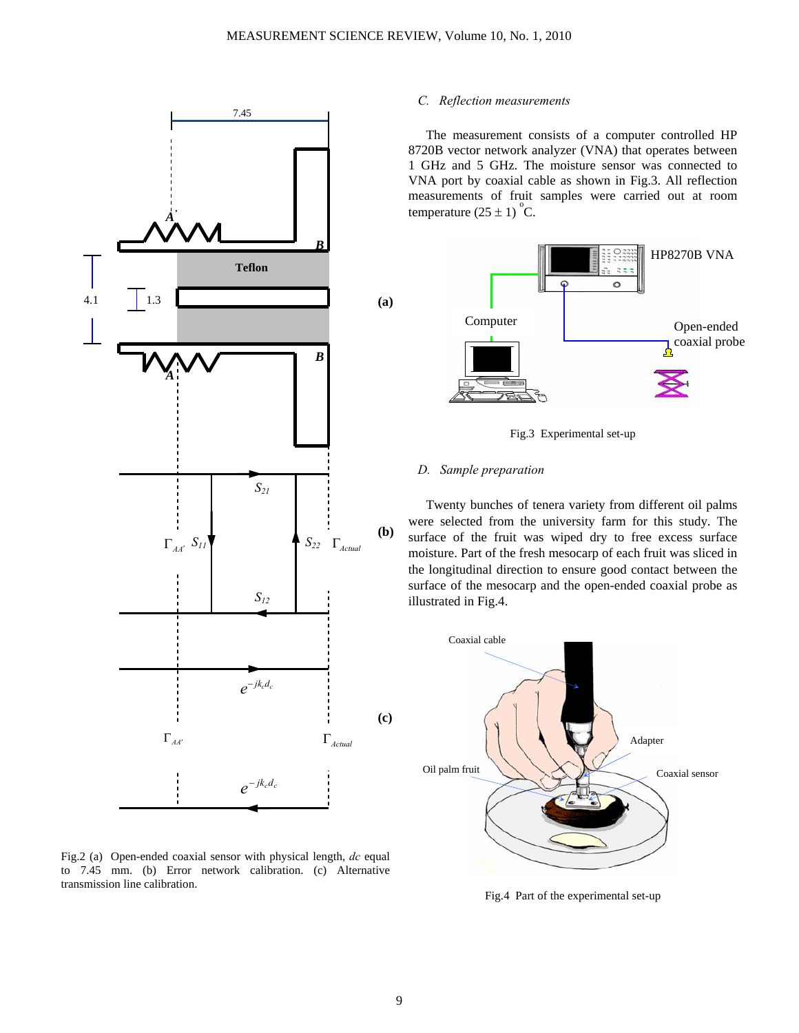

Fig.2 (a) Open-ended coaxial sensor with physical length, *dc* equal to 7.45 mm. (b) Error network calibration. (c) Alternative transmission line calibration.

# *C. Reflection measurements*

The measurement consists of a computer controlled HP 8720B vector network analyzer (VNA) that operates between 1 GHz and 5 GHz. The moisture sensor was connected to VNA port by coaxial cable as shown in Fig.3. All reflection measurements of fruit samples were carried out at room temperature  $(25 \pm 1)$ <sup>o</sup>C.



Fig.3 Experimental set-up

# *D. Sample preparation*

Twenty bunches of tenera variety from different oil palms were selected from the university farm for this study. The surface of the fruit was wiped dry to free excess surface moisture. Part of the fresh mesocarp of each fruit was sliced in the longitudinal direction to ensure good contact between the surface of the mesocarp and the open-ended coaxial probe as illustrated in Fig.4.



Fig.4 Part of the experimental set-up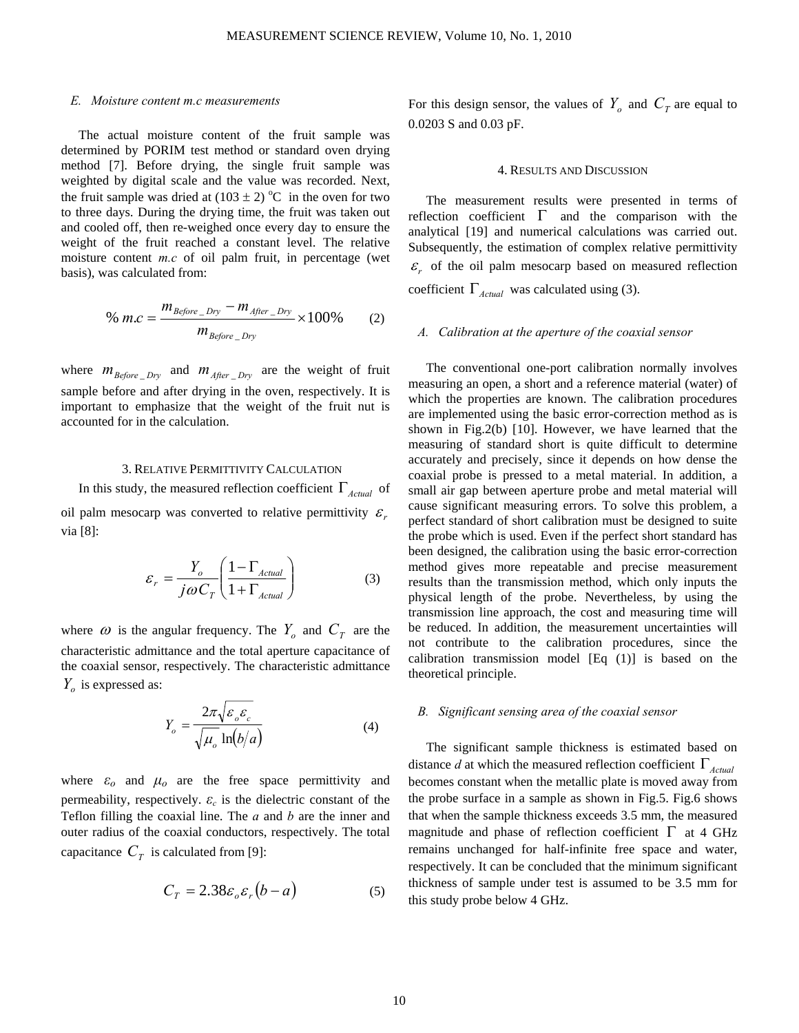# *E. Moisture content m.c measurements*

The actual moisture content of the fruit sample was determined by PORIM test method or standard oven drying method [7]. Before drying, the single fruit sample was weighted by digital scale and the value was recorded. Next, the fruit sample was dried at  $(103 \pm 2)$  °C in the oven for two to three days. During the drying time, the fruit was taken out and cooled off, then re-weighed once every day to ensure the weight of the fruit reached a constant level. The relative moisture content *m.c* of oil palm fruit, in percentage (wet basis), was calculated from:

% 
$$
m.c = \frac{m_{Before\_Dry} - m_{After\_Dry}}{m_{Before\_Dry}} \times 100\%
$$
 (2)

where  $m_{Before\_Dry}$  and  $m_{After\_Dry}$  are the weight of fruit sample before and after drying in the oven, respectively. It is important to emphasize that the weight of the fruit nut is accounted for in the calculation.

## 3. RELATIVE PERMITTIVITY CALCULATION

In this study, the measured reflection coefficient Γ*Actual* of oil palm mesocarp was converted to relative permittivity  $\varepsilon_r$ via [8]:

$$
\varepsilon_r = \frac{Y_o}{j\omega C_T} \left( \frac{1 - \Gamma_{Actual}}{1 + \Gamma_{Actual}} \right)
$$
(3)

where  $\omega$  is the angular frequency. The  $Y_o$  and  $C_T$  are the characteristic admittance and the total aperture capacitance of the coaxial sensor, respectively. The characteristic admittance  $Y_o$  is expressed as:

$$
Y_o = \frac{2\pi\sqrt{\varepsilon_o \varepsilon_c}}{\sqrt{\mu_o} \ln(b/a)}\tag{4}
$$

where  $\varepsilon_o$  and  $\mu_o$  are the free space permittivity and permeability, respectively.  $\varepsilon_c$  is the dielectric constant of the Teflon filling the coaxial line. The *a* and *b* are the inner and outer radius of the coaxial conductors, respectively. The total capacitance  $C_T$  is calculated from [9]:

$$
C_T = 2.38 \varepsilon_o \varepsilon_r (b - a) \tag{5}
$$

For this design sensor, the values of  $Y_o$  and  $C_T$  are equal to 0.0203 S and 0.03 pF.

#### 4. RESULTS AND DISCUSSION

The measurement results were presented in terms of reflection coefficient  $\Gamma$  and the comparison with the analytical [19] and numerical calculations was carried out. Subsequently, the estimation of complex relative permittivity  $\mathcal{E}_r$  of the oil palm mesocarp based on measured reflection coefficient  $\Gamma_{\text{Actual}}$  was calculated using (3).

#### *A. Calibration at the aperture of the coaxial sensor*

The conventional one-port calibration normally involves measuring an open, a short and a reference material (water) of which the properties are known. The calibration procedures are implemented using the basic error-correction method as is shown in Fig.2(b) [10]. However, we have learned that the measuring of standard short is quite difficult to determine accurately and precisely, since it depends on how dense the coaxial probe is pressed to a metal material. In addition, a small air gap between aperture probe and metal material will cause significant measuring errors. To solve this problem, a perfect standard of short calibration must be designed to suite the probe which is used. Even if the perfect short standard has been designed, the calibration using the basic error-correction method gives more repeatable and precise measurement results than the transmission method, which only inputs the physical length of the probe. Nevertheless, by using the transmission line approach, the cost and measuring time will be reduced. In addition, the measurement uncertainties will not contribute to the calibration procedures, since the calibration transmission model [Eq (1)] is based on the theoretical principle.

## *B. Significant sensing area of the coaxial sensor*

The significant sample thickness is estimated based on distance *d* at which the measured reflection coefficient  $\Gamma_{Actual}$ becomes constant when the metallic plate is moved away from the probe surface in a sample as shown in Fig.5. Fig.6 shows that when the sample thickness exceeds 3.5 mm, the measured magnitude and phase of reflection coefficient  $\Gamma$  at 4 GHz remains unchanged for half-infinite free space and water, respectively. It can be concluded that the minimum significant thickness of sample under test is assumed to be 3.5 mm for this study probe below 4 GHz.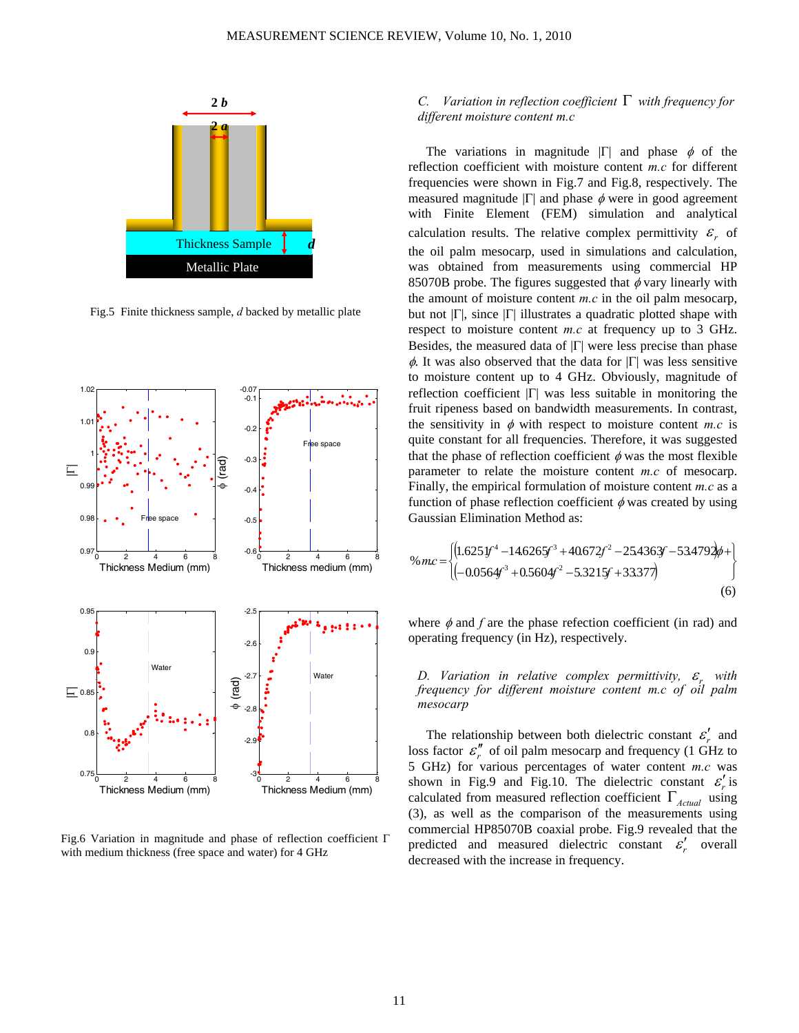

Fig.5 Finite thickness sample, *d* backed by metallic plate



Fig.6 Variation in magnitude and phase of reflection coefficient Γ with medium thickness (free space and water) for 4 GHz

# *C. Variation in reflection coefficient* Γ *with frequency for different moisture content m.c*

The variations in magnitude  $|\Gamma|$  and phase  $\phi$  of the reflection coefficient with moisture content *m.c* for different frequencies were shown in Fig.7 and Fig.8, respectively. The measured magnitude  $|\Gamma|$  and phase  $\phi$  were in good agreement with Finite Element (FEM) simulation and analytical calculation results. The relative complex permittivity  $\varepsilon_r$  of the oil palm mesocarp, used in simulations and calculation, was obtained from measurements using commercial HP 85070B probe. The figures suggested that  $\phi$  vary linearly with the amount of moisture content *m.c* in the oil palm mesocarp, but not  $|\Gamma|$ , since  $|\Gamma|$  illustrates a quadratic plotted shape with respect to moisture content *m.c* at frequency up to 3 GHz. Besides, the measured data of  $|\Gamma|$  were less precise than phase  $φ$ . It was also observed that the data for  $|Γ|$  was less sensitive to moisture content up to 4 GHz. Obviously, magnitude of reflection coefficient |Γ| was less suitable in monitoring the fruit ripeness based on bandwidth measurements. In contrast, the sensitivity in  $\phi$  with respect to moisture content *m.c* is quite constant for all frequencies. Therefore, it was suggested that the phase of reflection coefficient  $\phi$  was the most flexible parameter to relate the moisture content *m.c* of mesocarp. Finally, the empirical formulation of moisture content *m.c* as a function of phase reflection coefficient  $\phi$  was created by using Gaussian Elimination Method as:

$$
\% mc = \begin{cases} \left(1.625 \, \text{J}^{4} - 14.6265 \, \text{J}^{3} + 40.672 \, \text{J}^{2} - 25.4363 \, \text{J} - 53.4792 \, \text{J}^{4} + 10.0564 \, \text{J}^{3} + 0.5604 \, \text{J}^{2} - 5.321 \, \text{J}^{4} + 33.377 \right) \end{cases} \tag{6}
$$

where  $\phi$  and  $f$  are the phase refection coefficient (in rad) and operating frequency (in Hz), respectively.

*D. Variation in relative complex permittivity,*  $\varepsilon$ *<sub>r</sub> with frequency for different moisture content m.c of oil palm mesocarp* 

The relationship between both dielectric constant  $\varepsilon'_{r}$  and loss factor  $\varepsilon$ <sup>"</sup>, of oil palm mesocarp and frequency (1 GHz to 5 GHz) for various percentages of water content *m.c* was shown in Fig.9 and Fig.10. The dielectric constant  $\varepsilon'_{r}$  is calculated from measured reflection coefficient  $\Gamma_{Actual}$  using (3), as well as the comparison of the measurements using commercial HP85070B coaxial probe. Fig.9 revealed that the predicted and measured dielectric constant  $\varepsilon'_{r}$  overall decreased with the increase in frequency.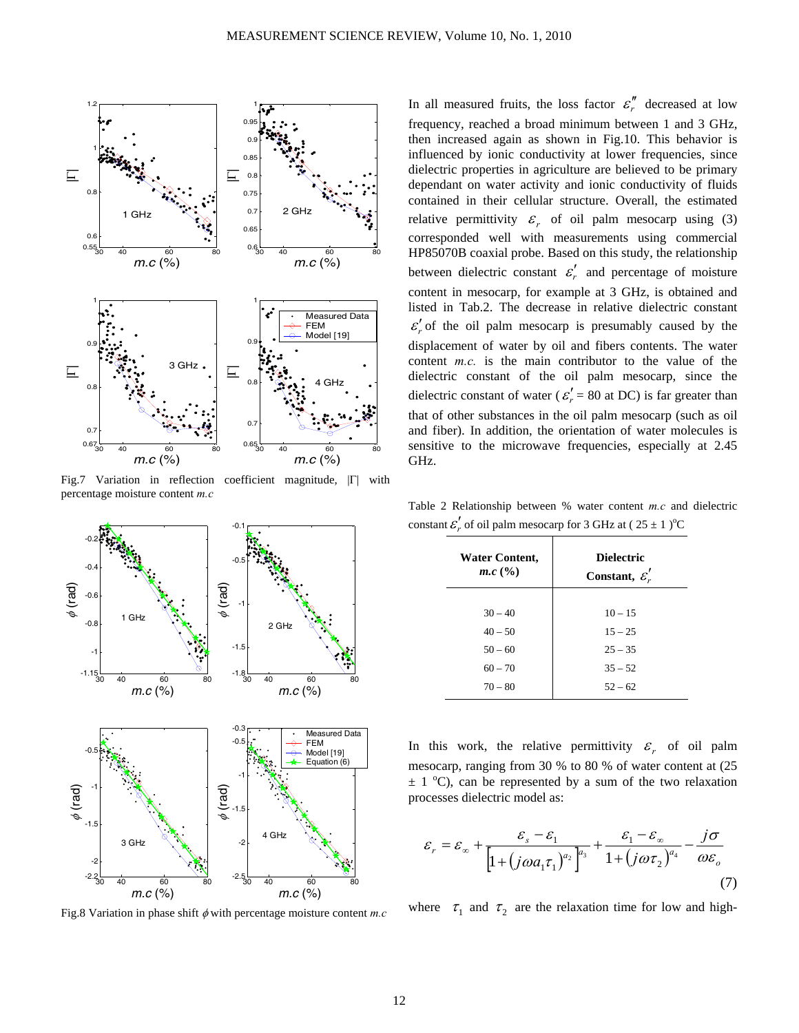

Fig.7 Variation in reflection coefficient magnitude, |Γ| with percentage moisture content *m.c*



Fig.8 Variation in phase shift φ with percentage moisture content *m.c*

In all measured fruits, the loss factor  $\varepsilon$ <sup>*r*</sup> decreased at low frequency, reached a broad minimum between 1 and 3 GHz, then increased again as shown in Fig.10. This behavior is influenced by ionic conductivity at lower frequencies, since dielectric properties in agriculture are believed to be primary dependant on water activity and ionic conductivity of fluids contained in their cellular structure. Overall, the estimated relative permittivity  $\varepsilon_r$  of oil palm mesocarp using (3) corresponded well with measurements using commercial HP85070B coaxial probe. Based on this study, the relationship between dielectric constant  $\varepsilon'_{r}$  and percentage of moisture content in mesocarp, for example at 3 GHz, is obtained and listed in Tab.2. The decrease in relative dielectric constant  $\varepsilon'_{r}$  of the oil palm mesocarp is presumably caused by the displacement of water by oil and fibers contents. The water content *m.c.* is the main contributor to the value of the dielectric constant of the oil palm mesocarp, since the dielectric constant of water ( $\varepsilon' = 80$  at DC) is far greater than that of other substances in the oil palm mesocarp (such as oil and fiber). In addition, the orientation of water molecules is sensitive to the microwave frequencies, especially at 2.45 GHz.

Table 2 Relationship between % water content *m.c* and dielectric constant  $\varepsilon'_{r}$  of oil palm mesocarp for 3 GHz at (  $25 \pm 1$  )<sup>o</sup>C

| <b>Water Content,</b><br>$m.c$ (%) | <b>Dielectric</b><br>Constant, $\mathcal{E}'_r$ |
|------------------------------------|-------------------------------------------------|
| $30 - 40$                          | $10 - 15$                                       |
| $40 - 50$                          | $15 - 25$                                       |
| $50 - 60$                          | $25 - 35$                                       |
| $60 - 70$                          | $35 - 52$                                       |
| $70 - 80$                          | $52 - 62$                                       |

In this work, the relative permittivity  $\varepsilon_r$  of oil palm mesocarp, ranging from 30 % to 80 % of water content at (25  $\pm$  1 °C), can be represented by a sum of the two relaxation processes dielectric model as:

$$
\varepsilon_r = \varepsilon_\infty + \frac{\varepsilon_s - \varepsilon_1}{\left[1 + \left(j\omega a_1 \tau_1\right)^{a_2}\right]^{a_3}} + \frac{\varepsilon_1 - \varepsilon_\infty}{1 + \left(j\omega \tau_2\right)^{a_4}} - \frac{j\sigma}{\omega \varepsilon_o}
$$
\n(7)

where  $\tau_1$  and  $\tau_2$  are the relaxation time for low and high-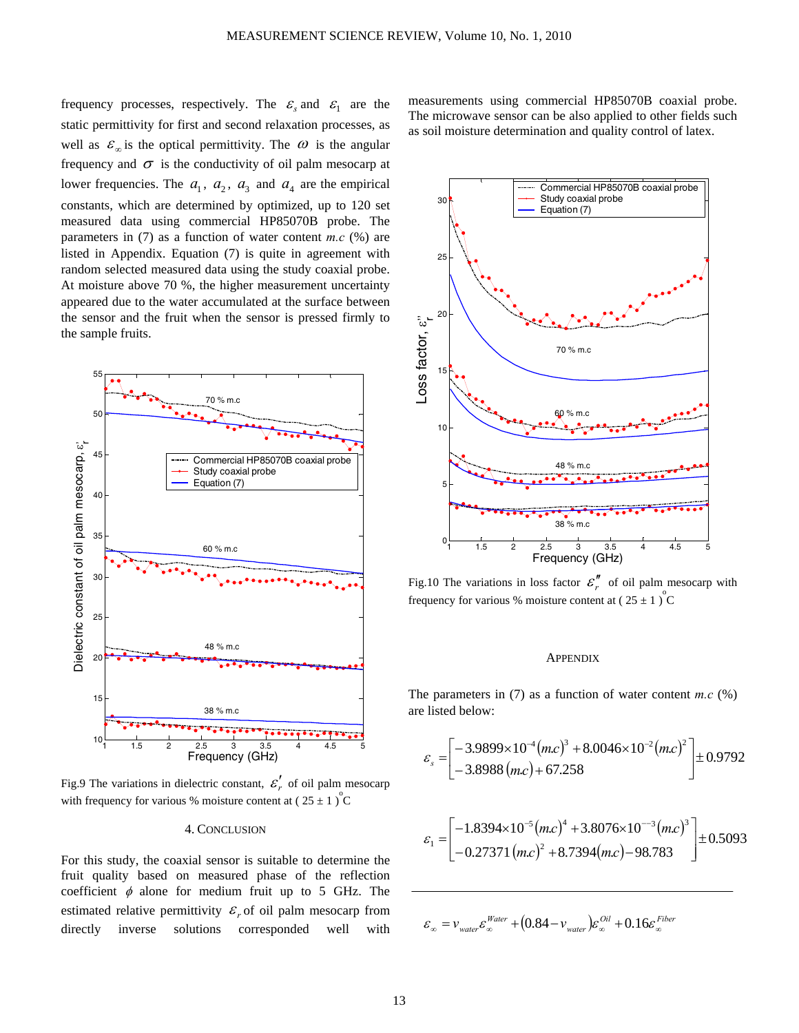frequency processes, respectively. The  $\varepsilon$  and  $\varepsilon$  are the static permittivity for first and second relaxation processes, as well as  $\varepsilon_{\infty}$  is the optical permittivity. The  $\omega$  is the angular frequency and  $\sigma$  is the conductivity of oil palm mesocarp at lower frequencies. The  $a_1$ ,  $a_2$ ,  $a_3$  and  $a_4$  are the empirical constants, which are determined by optimized, up to 120 set measured data using commercial HP85070B probe. The parameters in (7) as a function of water content *m.c* (%) are listed in Appendix. Equation (7) is quite in agreement with random selected measured data using the study coaxial probe. At moisture above 70 %, the higher measurement uncertainty appeared due to the water accumulated at the surface between the sensor and the fruit when the sensor is pressed firmly to the sample fruits.



Fig.9 The variations in dielectric constant,  $\mathcal{E}'_r$  of oil palm mesocarp with frequency for various % moisture content at  $(25 \pm 1)^{\circ}$ C

#### 4. CONCLUSION

For this study, the coaxial sensor is suitable to determine the fruit quality based on measured phase of the reflection coefficient  $\phi$  alone for medium fruit up to 5 GHz. The estimated relative permittivity  $\varepsilon_r$  of oil palm mesocarp from directly inverse solutions corresponded well with measurements using commercial HP85070B coaxial probe. The microwave sensor can be also applied to other fields such as soil moisture determination and quality control of latex.



Fig.10 The variations in loss factor  $\varepsilon$ <sup>*n*</sup> of oil palm mesocarp with frequency for various % moisture content at  $(25 \pm 1)^{\circ}C$ 

# **APPENDIX**

The parameters in  $(7)$  as a function of water content *m.c*  $(\%)$ are listed below:

$$
\varepsilon_{s} = \begin{bmatrix} -3.9899 \times 10^{-4} (mc)^{3} + 8.0046 \times 10^{-2} (mc)^{2} \\ -3.8988 (mc) + 67.258 \end{bmatrix} \pm 0.9792
$$

$$
\varepsilon_1 = \begin{bmatrix} -1.8394 \times 10^{-5} (mc)^4 + 3.8076 \times 10^{-3} (mc)^3 \\ -0.27371 (mc)^2 + 8.7394 (mc) - 98.783 \end{bmatrix} \pm 0.5093
$$

 $\varepsilon_{\infty} = v_{\text{\tiny{water}}} \varepsilon_{\infty}^{\text{\tiny{Water}}} + (0.84 - v_{\text{\tiny{water}}}) \varepsilon_{\infty}^{\text{\tiny{Oil}}} + 0.16 \varepsilon_{\infty}^{\text{\tiny{Fiber}}}$